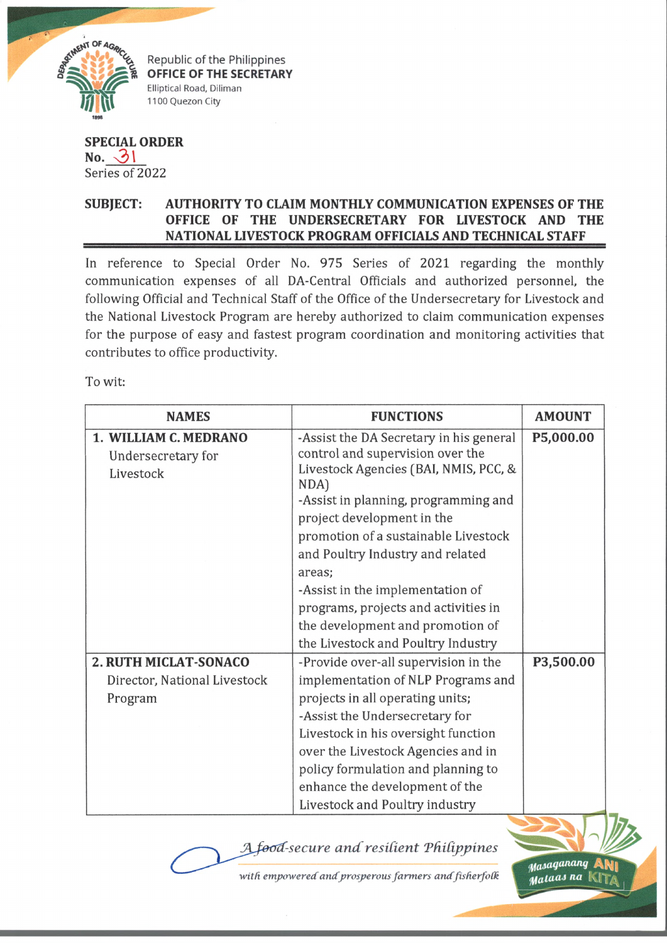

Republic of the Philippines OFFICE OF THE SECRETARY Elliptical Road, Diliman 1100 Quezon City

**SPECIAL ORDER**  $No.$   $31$ Series of 2022

## **SUBJECT: AUTHORITY TO CLAIM MONTHLY COMMUNICATION EXPENSES OF THE OFFICE OF THE UNDERSECRETARY FOR LIVESTOCK AND THE \_\_\_\_\_\_\_\_\_\_\_\_\_\_\_\_ NATIONAL LIVESTOCK PROGRAM OFFICIALS AND TECHNICAL STAFF**

In reference to Special Order No. 975 Series of 2021 regarding the monthly communication expenses of all DA-Central Officials and authorized personnel, the following Official and Technical Staff of the Office of the Undersecretary for Livestock and the National Livestock Program are hereby authorized to claim communication expenses for the purpose of easy and fastest program coordination and monitoring activities that contributes to office productivity.

To wit:

| <b>NAMES</b>                                                            | <b>FUNCTIONS</b>                                                                                                                                                                                                                                                                                                                                                                                                                              | <b>AMOUNT</b> |
|-------------------------------------------------------------------------|-----------------------------------------------------------------------------------------------------------------------------------------------------------------------------------------------------------------------------------------------------------------------------------------------------------------------------------------------------------------------------------------------------------------------------------------------|---------------|
| 1. WILLIAM C. MEDRANO<br>Undersecretary for<br>Livestock                | -Assist the DA Secretary in his general<br>control and supervision over the<br>Livestock Agencies (BAI, NMIS, PCC, &<br>NDA<br>-Assist in planning, programming and<br>project development in the<br>promotion of a sustainable Livestock<br>and Poultry Industry and related<br>areas:<br>-Assist in the implementation of<br>programs, projects and activities in<br>the development and promotion of<br>the Livestock and Poultry Industry | P5,000.00     |
| <b>2. RUTH MICLAT-SONACO</b><br>Director, National Livestock<br>Program | -Provide over-all supervision in the<br>implementation of NLP Programs and<br>projects in all operating units;<br>-Assist the Undersecretary for<br>Livestock in his oversight function<br>over the Livestock Agencies and in<br>policy formulation and planning to<br>enhance the development of the<br>Livestock and Poultry industry                                                                                                       | P3,500.00     |

 $A$ *food-secure and resilient Philippines* 

with empowered and prosperous farmers and fisherfolk

*Piaiaqatumq* Aty| flfaruaJ *na* l\[T /i